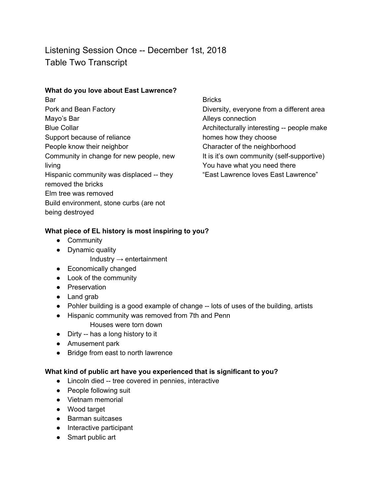Listening Session Once -- December 1st, 2018 Table Two Transcript

## **What do you love about East Lawrence?**

Bar Pork and Bean Factory Mayo's Bar Blue Collar Support because of reliance People know their neighbor Community in change for new people, new living Hispanic community was displaced -- they removed the bricks Elm tree was removed Build environment, stone curbs (are not being destroyed

**Bricks** Diversity, everyone from a different area Alleys connection Architecturally interesting -- people make homes how they choose Character of the neighborhood It is it's own community (self-supportive) You have what you need there "East Lawrence loves East Lawrence"

## **What piece of EL history is most inspiring to you?**

- Community
- Dynamic quality
	- Industry  $\rightarrow$  entertainment
- Economically changed
- Look of the community
- Preservation
- Land grab
- Pohler building is a good example of change -- lots of uses of the building, artists
- Hispanic community was removed from 7th and Penn Houses were torn down
- Dirty -- has a long history to it
- Amusement park
- Bridge from east to north lawrence

## **What kind of public art have you experienced that is significant to you?**

- Lincoln died -- tree covered in pennies, interactive
- People following suit
- Vietnam memorial
- Wood target
- Barman suitcases
- Interactive participant
- Smart public art